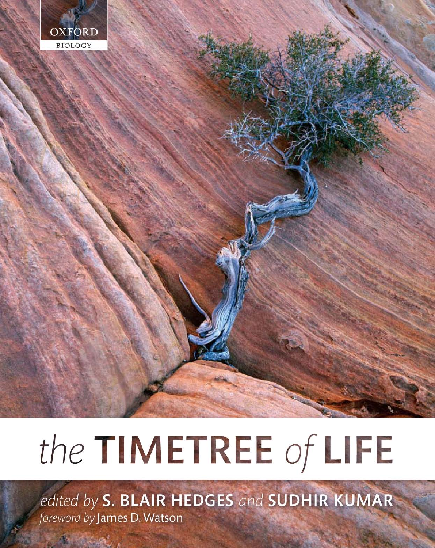

# the TIMETREE of LIFE

edited by S. BLAIR HEDGES and SUDHIR KUMAR foreword by James D. Watson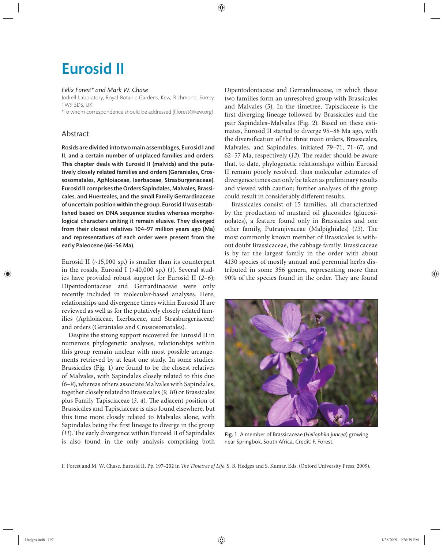## Eurosid II

#### *Félix Forest\* and Mark W. Chase*

Jodrell Laboratory, Royal Botanic Gardens, Kew, Richmond, Surrey, TW9 3DS, UK

\*To whom correspondence should be addressed (f.forest@kew.org)

### Abstract

Rosids are divided into two main assemblages, Eurosid I and II, and a certain number of unplaced families and orders. This chapter deals with Eurosid II (malvids) and the putatively closely related families and orders (Geraniales, Crossosomatales, Aphloiaceae, Ixerbaceae, Strasburgeriaceae). Eurosid II comprises the Orders Sapindales, Malvales, Brassicales, and Huerteales, and the small Family Gerrardinaceae of uncertain position within the group. Eurosid II was established based on DNA sequence studies whereas morphological characters uniting it remain elusive. They diverged from their closest relatives 104-97 million years ago (Ma) and representatives of each order were present from the early Paleocene (66–56 Ma).

Eurosid II  $(-15,000 \text{ sp.})$  is smaller than its counterpart in the rosids, Eurosid I  $(>40,000 \text{ sp.})$  (1). Several studies have provided robust support for Eurosid II (*2–6*); Dipentodontaceae and Gerrardinaceae were only recently included in molecular-based analyses. Here, relationships and divergence times within Eurosid II are reviewed as well as for the putatively closely related families (Aphloiaceae, Ixerbaceae, and Strasburgeriaceae) and orders (Geraniales and Crossosomatales).

Despite the strong support recovered for Eurosid II in numerous phylogenetic analyses, relationships within this group remain unclear with most possible arrangements retrieved by at least one study. In some studies, Brassicales (Fig. 1) are found to be the closest relatives of Malvales, with Sapindales closely related to this duo (*6–8*), whereas others associate Malvales with Sapindales, together closely related to Brassicales (*9, 10*) or Brassicales plus Family Tapisciaceae (3, 4). The adjacent position of Brassicales and Tapisciaceae is also found elsewhere, but this time more closely related to Malvales alone, with Sapindales being the first lineage to diverge in the group  $(11)$ . The early divergence within Eurosid II of Sapindales is also found in the only analysis comprising both Dipentodontaceae and Gerrardinaceae, in which these two families form an unresolved group with Brassicales and Malvales (*5*). In the timetree, Tapisciaceae is the first diverging lineage followed by Brassicales and the pair Sapindales–Malvales (Fig. 2). Based on these estimates, Eurosid II started to diverge 95–88 Ma ago, with the diversification of the three main orders, Brassicales, Malvales, and Sapindales, initiated 79–71, 71–67, and 62–57 Ma, respectively (12). The reader should be aware that, to date, phylogenetic relationships within Eurosid II remain poorly resolved, thus molecular estimates of divergence times can only be taken as preliminary results and viewed with caution; further analyses of the group could result in considerably different results.

Brassicales consist of 15 families, all characterized by the production of mustard oil glucosides (glucosinolates), a feature found only in Brassicales and one other family, Putranjivaceae (Malpighiales) (13). The most commonly known member of Brassicales is without doubt Brassicaceae, the cabbage family. Brassicaceae is by far the largest family in the order with about 4130 species of mostly annual and perennial herbs distributed in some 356 genera, representing more than 90% of the species found in the order. They are found



Fig. 1 A member of Brassicaceae (*Heliophila juncea*) growing near Springbok, South Africa. Credit: F. Forest.

F. Forest and M. W. Chase. Eurosid II. Pp. 197-202 in *The Timetree of Life*, S. B. Hedges and S. Kumar, Eds. (Oxford University Press, 2009).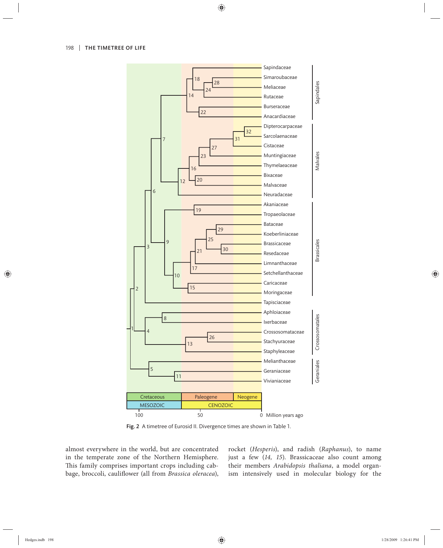

Fig. 2 A timetree of Eurosid II. Divergence times are shown in Table 1.

almost everywhere in the world, but are concentrated in the temperate zone of the Northern Hemisphere. This family comprises important crops including cabbage, broccoli, cauliflower (all from *Brassica oleracea*), rocket (*Hesperis*), and radish (*Raphanus*), to name just a few (14, 15). Brassicaceae also count among their members *Arabidopsis thaliana*, a model organism intensively used in molecular biology for the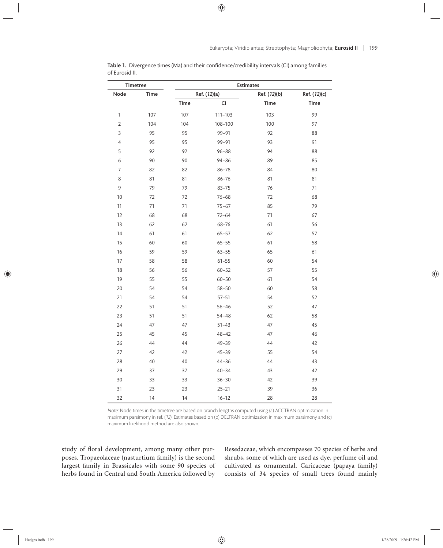| Timetree       |             | <b>Estimates</b> |              |              |              |
|----------------|-------------|------------------|--------------|--------------|--------------|
| Node           | <b>Time</b> |                  | Ref. (12)(a) | Ref. (12)(b) | Ref. (12)(c) |
|                |             | Time             | CI           | <b>Time</b>  | <b>Time</b>  |
| $\mathbf{1}$   | 107         | 107              | 111-103      | 103          | 99           |
| $\overline{2}$ | 104         | 104              | 108-100      | 100          | 97           |
| 3              | 95          | 95               | 99-91        | 92           | 88           |
| 4              | 95          | 95               | 99-91        | 93           | 91           |
| 5              | 92          | 92               | $96 - 88$    | 94           | 88           |
| 6              | 90          | 90               | $94 - 86$    | 89           | 85           |
| 7              | 82          | 82               | $86 - 78$    | 84           | 80           |
| 8              | 81          | 81               | 86-76        | 81           | 81           |
| 9              | 79          | 79               | $83 - 75$    | 76           | 71           |
| 10             | 72          | 72               | $76 - 68$    | 72           | 68           |
| 11             | 71          | 71               | $75 - 67$    | 85           | 79           |
| 12             | 68          | 68               | $72 - 64$    | 71           | 67           |
| 13             | 62          | 62               | 68-76        | 61           | 56           |
| 14             | 61          | 61               | $65 - 57$    | 62           | 57           |
| 15             | 60          | 60               | $65 - 55$    | 61           | 58           |
| 16             | 59          | 59               | $63 - 55$    | 65           | 61           |
| 17             | 58          | 58               | $61 - 55$    | 60           | 54           |
| 18             | 56          | 56               | $60 - 52$    | 57           | 55           |
| 19             | 55          | 55               | $60 - 50$    | 61           | 54           |
| 20             | 54          | 54               | $58 - 50$    | 60           | 58           |
| 21             | 54          | 54               | $57 - 51$    | 54           | 52           |
| 22             | 51          | 51               | $56 - 46$    | 52           | 47           |
| 23             | 51          | 51               | $54 - 48$    | 62           | 58           |
| 24             | 47          | 47               | $51 - 43$    | 47           | 45           |
| 25             | 45          | 45               | $48 - 42$    | 47           | 46           |
| 26             | 44          | 44               | $49 - 39$    | 44           | 42           |
| 27             | 42          | 42               | $45 - 39$    | 55           | 54           |
| 28             | 40          | 40               | $44 - 36$    | 44           | 43           |
| 29             | 37          | 37               | $40 - 34$    | 43           | 42           |
| 30             | 33          | 33               | $36 - 30$    | 42           | 39           |
| 31             | 23          | 23               | $25 - 21$    | 39           | 36           |
| 32             | 14          | 14               | $16 - 12$    | 28           | 28           |

Table 1. Divergence times (Ma) and their confidence/credibility intervals (CI) among families of Eurosid II.

Note: Node times in the timetree are based on branch lengths computed using (a) ACCTRAN optimization in maximum parsimony in ref. (12). Estimates based on (b) DELTRAN optimization in maximum parsimony and (c) maximum likelihood method are also shown.

study of floral development, among many other purposes. Tropaeolaceae (nasturtium family) is the second largest family in Brassicales with some 90 species of herbs found in Central and South America followed by

Resedaceae, which encompasses 70 species of herbs and shrubs, some of which are used as dye, perfume oil and cultivated as ornamental. Caricaceae (papaya family) consists of 34 species of small trees found mainly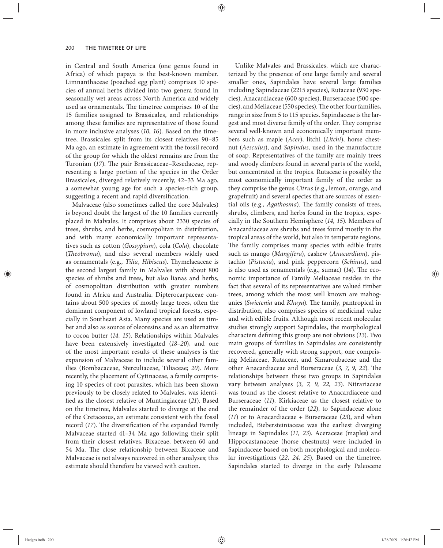in Central and South America (one genus found in Africa) of which papaya is the best-known member. Limnanthaceae (poached egg plant) comprises 10 species of annual herbs divided into two genera found in seasonally wet areas across North America and widely used as ornamentals. The timetree comprises 10 of the 15 families assigned to Brassicales, and relationships among these families are representative of those found in more inclusive analyses (*10, 16*). Based on the timetree, Brassicales split from its closest relatives 90–85 Ma ago, an estimate in agreement with the fossil record of the group for which the oldest remains are from the Turonian (17). The pair Brassicaceae–Resedaceae, representing a large portion of the species in the Order Brassicales, diverged relatively recently, 42–33 Ma ago, a somewhat young age for such a species-rich group, suggesting a recent and rapid diversification.

Malvaceae (also sometimes called the core Malvales) is beyond doubt the largest of the 10 families currently placed in Malvales. It comprises about 2330 species of trees, shrubs, and herbs, cosmopolitan in distribution, and with many economically important representatives such as cotton (*Gossypium*), cola (*Cola*), chocolate (*Theobroma*), and also several members widely used as ornamentals (e.g., *Tilia*, *Hibiscus*). Thymelaeaceae is the second largest family in Malvales with about 800 species of shrubs and trees, but also lianas and herbs, of cosmopolitan distribution with greater numbers found in Africa and Australia. Dipterocarpaceae contains about 500 species of mostly large trees, often the dominant component of lowland tropical forests, especially in Southeast Asia. Many species are used as timber and also as source of oleoresins and as an alternative to cocoa bu tter (*14, 15*). Relationships within Malvales have been extensively investigated (*18–20*), and one of the most important results of these analyses is the expansion of Malvaceae to include several other families (Bombacaceae, Sterculiaceae, Tiliaceae; *20*). More recently, the placement of Cytinaceae, a family comprising 10 species of root parasites, which has been shown previously to be closely related to Malvales, was identified as the closest relative of Muntingiaceae (21). Based on the timetree, Malvales started to diverge at the end of the Cretaceous, an estimate consistent with the fossil record (17). The diversification of the expanded Family Malvaceae started 41–34 Ma ago following their split from their closest relatives, Bixaceae, between 60 and 54 Ma. The close relationship between Bixaceae and Malvaceae is not always recovered in other analyses; this estimate should therefore be viewed with caution.

Unlike Malvales and Brassicales, which are characterized by the presence of one large family and several smaller ones, Sapindales have several large families including Sapindaceae (2215 species), Rutaceae (930 species), Anacardiaceae (600 species), Burseraceae (500 species), and Meliaceae (550 species). The other four families, range in size from 5 to 115 species. Sapindaceae is the largest and most diverse family of the order. They comprise several well-known and economically important members such as maple (*Acer*), litchi (*Litchi*), horse chestnut (*Aesculus*), and *Sapindus*, used in the manufacture of soap. Representatives of the family are mainly trees and woody climbers found in several parts of the world, but concentrated in the tropics. Rutaceae is possibly the most economically important family of the order as they comprise the genus *Citrus* (e.g., lemon, orange, and grapefruit) and several species that are sources of essential oils (e.g., *Agathosma*). The family consists of trees, shrubs, climbers, and herbs found in the tropics, especially in the Southern Hemisphere (*14, 15*). Members of Anacardiaceae are shrubs and trees found mostly in the tropical areas of the world, but also in temperate regions. The family comprises many species with edible fruits such as mango (*Mangifera*), cashew (*Anacardium*), pistachio (*Pistacia*), and pink peppercorn (*Schinus*), and is also used as ornamentals (e.g., sumac) (14). The economic importance of Family Meliaceae resides in the fact that several of its representatives are valued timber trees, among which the most well known are mahoganies (*Swietenia* and *Khaya*). The family, pantropical in distribution, also comprises species of medicinal value and with edible fruits. Although most recent molecular studies strongly support Sapindales, the morphological characters defining this group are not obvious (13). Two main groups of families in Sapindales are consistently recovered, generally with strong support, one comprising Meliaceae, Rutaceae, and Simaroubaceae and the other Anacardiaceae and Burseraceae (3, 7, 9, 22). The relationships between these two groups in Sapindales vary between analyses (*3, 7, 9, 22, 23*). Nitrariaceae was found as the closest relative to Anacardiaceae and Burseraceae (*11*), Kirkiaceae as the closest relative to the remainder of the order (*22*), to Sapindaceae alone (*11*) or to Anacardiaceae + Burseraceae (*23*), and when included, Biebersteiniaceae was the earliest diverging lineage in Sapindales (*11, 23*). Aceraceae (maples) and Hippocastanaceae (horse chestnuts) were included in Sapindaceae based on both morphological and molecular investigations (*22, 24, 25*). Based on the timetree, Sapindales started to diverge in the early Paleocene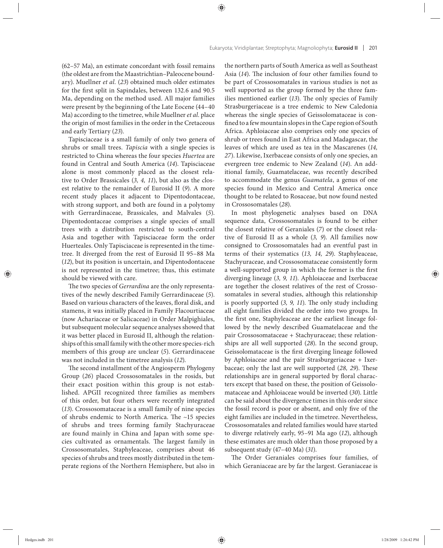(62–57 Ma), an estimate concordant with fossil remains (the oldest are from the Maastrichtian–Paleocene boundary). Muellner *et al.* (*23*) obtained much older estimates for the first split in Sapindales, between 132.6 and 90.5 Ma, depending on the method used. All major families were present by the beginning of the Late Eocene (44–40 Ma) according to the timetree, while Muellner *et al.* place the origin of most families in the order in the Cretaceous and early Tertiary (*23*).

Tapisciaceae is a small family of only two genera of shrubs or small trees. *Tapiscia* with a single species is restricted to China whereas the four species *Huertea* are found in Central and South America (*14*). Tapisciaceae alone is most commonly placed as the closest relative to Order Brassicales (*3, 4, 11*), but also as the closest relative to the remainder of Eurosid II (*9*). A more recent study places it adjacent to Dipentodontaceae, with strong support, and both are found in a polytomy with Gerrardinaceae, Brassicales, and Malvales (*5*). Dipentodontaceae comprises a single species of small trees with a distribution restricted to south-central Asia and together with Tapisciaceae form the order Huerteales. Only Tapisciaceae is represented in the timetree. It diverged from the rest of Eurosid II 95-88 Ma (*12*), but its position is uncertain, and Dipentodontaceae is not represented in the timetree; thus, this estimate should be viewed with care.

The two species of *Gerrardina* are the only representatives of the newly described Family Gerrardinaceae (*5*). Based on various characters of the leaves, floral disk, and stamens, it was initially placed in Family Flacourtiaceae (now Achariaceae or Salicaceae) in Order Malpighiales, but subsequent molecular sequence analyses showed that it was better placed in Eurosid II, although the relationships of this small family with the other more species-rich members of this group are unclear (*5*). Gerrardinaceae was not included in the timetree analysis (*12*).

The second installment of the Angiosperm Phylogeny Group (*26*) placed Crossosomatales in the rosids, but their exact position within this group is not established. APGII recognized three families as members of this order, but four others were recently integrated (*13*). Crossosomataceae is a small family of nine species of shrubs endemic to North America. The  $~15$  species of shrubs and trees forming family Stachyuraceae are found mainly in China and Japan with some species cultivated as ornamentals. The largest family in Crossosomatales, Staphyleaceae, comprises about 46 species of shrubs and trees mostly distributed in the temperate regions of the Northern Hemisphere, but also in

the northern parts of South America as well as Southeast Asia (14). The inclusion of four other families found to be part of Crossosomatales in various studies is not as well supported as the group formed by the three families mentioned earlier (13). The only species of Family Strasburgeriaceae is a tree endemic to New Caledonia whereas the single species of Geissolomataceae is confined to a few mountain slopes in the Cape region of South Africa. Aphloiaceae also comprises only one species of shrub or trees found in East Africa and Madagascar, the leaves of which are used as tea in the Mascarenes (*14, 27*). Likewise, Ixerbaceae consists of only one species, an evergreen tree endemic to New Zealand (*14*). An additional family, Guamatelaceae, was recently described to accommodate the genus *Guamatela*, a genus of one species found in Mexico and Central America once thought to be related to Rosaceae, but now found nested in Crossosomatales (*28*).

In most phylogenetic analyses based on DNA sequence data, Crossosomatales is found to be either the closest relative of Geraniales (*7*) or the closest relative of Eurosid II as a whole (*3, 9*). All families now consigned to Crossosomatales had an eventful past in terms of their systematics (*13, 14, 29*). Staphyleaceae, Stachyuraceae, and Crossosomataceae consistently form a well-supported group in which the former is the first diverging lineage (*3, 9, 11*). Aphloiaceae and Ixerbaceae are together the closest relatives of the rest of Crossosomatales in several studies, although this relationship is poorly supported  $(3, 9, 11)$ . The only study including all eight families divided the order into two groups. In the first one, Staphyleaceae are the earliest lineage followed by the newly described Guamatelaceae and the pair Crossosomataceae + Stachyuraceae; these relationships are all well supported (*28*). In the second group, Geissolomataceae is the first diverging lineage followed by Aphloiaceae and the pair Strasburgeriaceae + Ixerbaceae; only the last are well supported (28, 29). These relationships are in general supported by floral characters except that based on these, the position of Geissolomataceae and Aphloiaceae would be inverted (*30*). Little can be said about the divergence times in this order since the fossil record is poor or absent, and only five of the eight families are included in the timetree. Nevertheless, Crossosomatales and related families would have started to diverge relatively early, 95–91 Ma ago (*12*), although these estimates are much older than those proposed by a subsequent study (47–40 Ma) (*31*).

The Order Geraniales comprises four families, of which Geraniaceae are by far the largest. Geraniaceae is